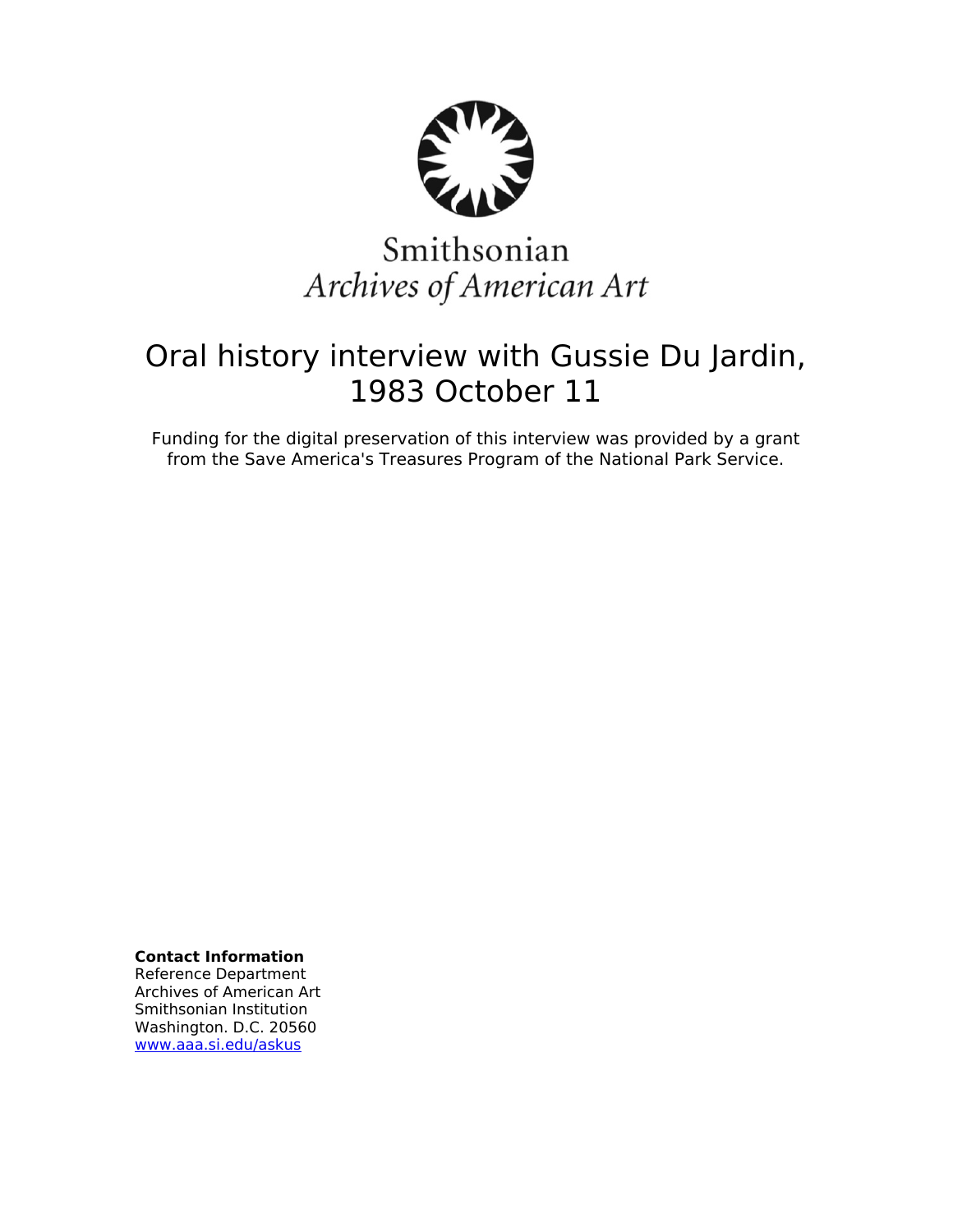

# Smithsonian Archives of American Art

## Oral history interview with Gussie Du Jardin, 1983 October 11

Funding for the digital preservation of this interview was provided by a grant from the Save America's Treasures Program of the National Park Service.

**Contact Information**

Reference Department Archives of American Art Smithsonian Institution Washington. D.C. 20560 [www.aaa.si.edu/askus](http://www.aaa.si.edu/askus)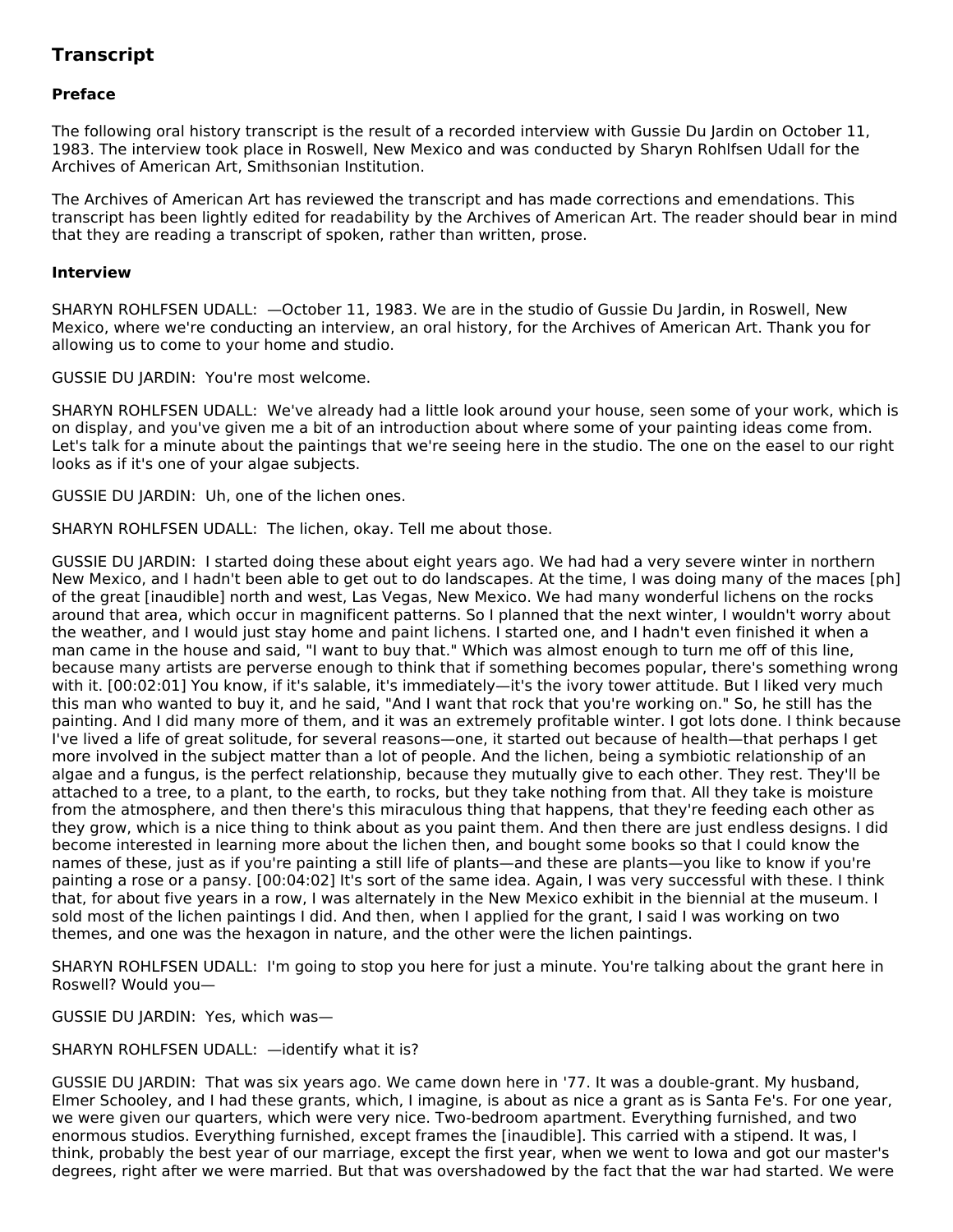### **Transcript**

#### **Preface**

The following oral history transcript is the result of a recorded interview with Gussie Du Jardin on October 11, 1983. The interview took place in Roswell, New Mexico and was conducted by Sharyn Rohlfsen Udall for the Archives of American Art, Smithsonian Institution.

The Archives of American Art has reviewed the transcript and has made corrections and emendations. This transcript has been lightly edited for readability by the Archives of American Art. The reader should bear in mind that they are reading a transcript of spoken, rather than written, prose.

#### **Interview**

SHARYN ROHLFSEN UDALL: —October 11, 1983. We are in the studio of Gussie Du Jardin, in Roswell, New Mexico, where we're conducting an interview, an oral history, for the Archives of American Art. Thank you for allowing us to come to your home and studio.

GUSSIE DU JARDIN: You're most welcome.

SHARYN ROHLFSEN UDALL: We've already had a little look around your house, seen some of your work, which is on display, and you've given me a bit of an introduction about where some of your painting ideas come from. Let's talk for a minute about the paintings that we're seeing here in the studio. The one on the easel to our right looks as if it's one of your algae subjects.

GUSSIE DU JARDIN: Uh, one of the lichen ones.

SHARYN ROHLFSEN UDALL: The lichen, okay. Tell me about those.

GUSSIE DU JARDIN: I started doing these about eight years ago. We had had a very severe winter in northern New Mexico, and I hadn't been able to get out to do landscapes. At the time, I was doing many of the maces [ph] of the great [inaudible] north and west, Las Vegas, New Mexico. We had many wonderful lichens on the rocks around that area, which occur in magnificent patterns. So I planned that the next winter, I wouldn't worry about the weather, and I would just stay home and paint lichens. I started one, and I hadn't even finished it when a man came in the house and said, "I want to buy that." Which was almost enough to turn me off of this line, because many artists are perverse enough to think that if something becomes popular, there's something wrong with it. [00:02:01] You know, if it's salable, it's immediately—it's the ivory tower attitude. But I liked very much this man who wanted to buy it, and he said, "And I want that rock that you're working on." So, he still has the painting. And I did many more of them, and it was an extremely profitable winter. I got lots done. I think because I've lived a life of great solitude, for several reasons—one, it started out because of health—that perhaps I get more involved in the subject matter than a lot of people. And the lichen, being a symbiotic relationship of an algae and a fungus, is the perfect relationship, because they mutually give to each other. They rest. They'll be attached to a tree, to a plant, to the earth, to rocks, but they take nothing from that. All they take is moisture from the atmosphere, and then there's this miraculous thing that happens, that they're feeding each other as they grow, which is a nice thing to think about as you paint them. And then there are just endless designs. I did become interested in learning more about the lichen then, and bought some books so that I could know the names of these, just as if you're painting a still life of plants—and these are plants—you like to know if you're painting a rose or a pansy. [00:04:02] It's sort of the same idea. Again, I was very successful with these. I think that, for about five years in a row, I was alternately in the New Mexico exhibit in the biennial at the museum. I sold most of the lichen paintings I did. And then, when I applied for the grant, I said I was working on two themes, and one was the hexagon in nature, and the other were the lichen paintings.

SHARYN ROHLFSEN UDALL: I'm going to stop you here for just a minute. You're talking about the grant here in Roswell? Would you—

GUSSIE DU JARDIN: Yes, which was—

#### SHARYN ROHLFSEN UDALL: —identify what it is?

GUSSIE DU JARDIN: That was six years ago. We came down here in '77. It was a double-grant. My husband, Elmer Schooley, and I had these grants, which, I imagine, is about as nice a grant as is Santa Fe's. For one year, we were given our quarters, which were very nice. Two-bedroom apartment. Everything furnished, and two enormous studios. Everything furnished, except frames the [inaudible]. This carried with a stipend. It was, I think, probably the best year of our marriage, except the first year, when we went to Iowa and got our master's degrees, right after we were married. But that was overshadowed by the fact that the war had started. We were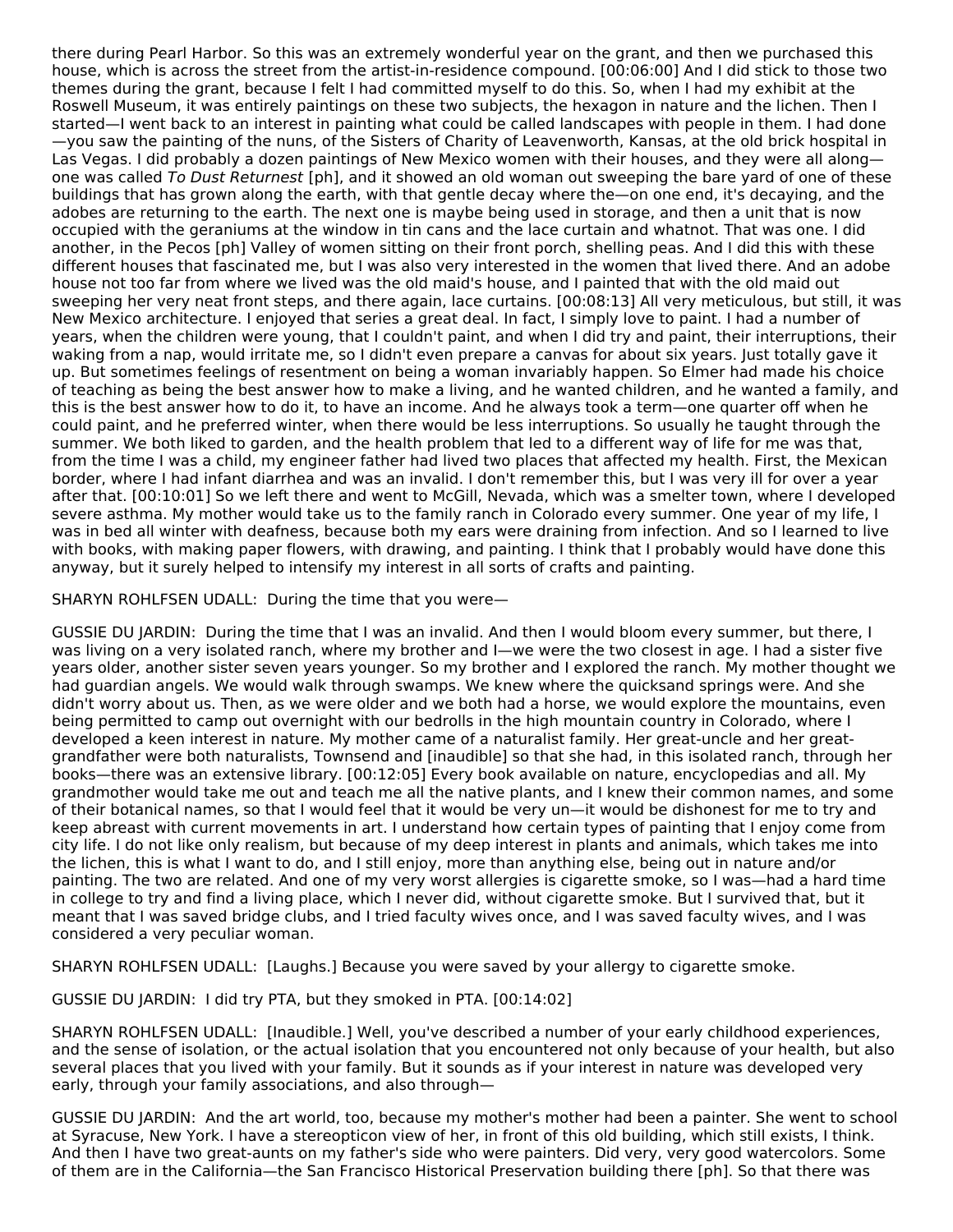there during Pearl Harbor. So this was an extremely wonderful year on the grant, and then we purchased this house, which is across the street from the artist-in-residence compound. [00:06:00] And I did stick to those two themes during the grant, because I felt I had committed myself to do this. So, when I had my exhibit at the Roswell Museum, it was entirely paintings on these two subjects, the hexagon in nature and the lichen. Then I started—I went back to an interest in painting what could be called landscapes with people in them. I had done —you saw the painting of the nuns, of the Sisters of Charity of Leavenworth, Kansas, at the old brick hospital in Las Vegas. I did probably a dozen paintings of New Mexico women with their houses, and they were all along one was called To Dust Returnest [ph], and it showed an old woman out sweeping the bare yard of one of these buildings that has grown along the earth, with that gentle decay where the—on one end, it's decaying, and the adobes are returning to the earth. The next one is maybe being used in storage, and then a unit that is now occupied with the geraniums at the window in tin cans and the lace curtain and whatnot. That was one. I did another, in the Pecos [ph] Valley of women sitting on their front porch, shelling peas. And I did this with these different houses that fascinated me, but I was also very interested in the women that lived there. And an adobe house not too far from where we lived was the old maid's house, and I painted that with the old maid out sweeping her very neat front steps, and there again, lace curtains. [00:08:13] All very meticulous, but still, it was New Mexico architecture. I enjoyed that series a great deal. In fact, I simply love to paint. I had a number of years, when the children were young, that I couldn't paint, and when I did try and paint, their interruptions, their waking from a nap, would irritate me, so I didn't even prepare a canvas for about six years. Just totally gave it up. But sometimes feelings of resentment on being a woman invariably happen. So Elmer had made his choice of teaching as being the best answer how to make a living, and he wanted children, and he wanted a family, and this is the best answer how to do it, to have an income. And he always took a term—one quarter off when he could paint, and he preferred winter, when there would be less interruptions. So usually he taught through the summer. We both liked to garden, and the health problem that led to a different way of life for me was that, from the time I was a child, my engineer father had lived two places that affected my health. First, the Mexican border, where I had infant diarrhea and was an invalid. I don't remember this, but I was very ill for over a year after that. [00:10:01] So we left there and went to McGill, Nevada, which was a smelter town, where I developed severe asthma. My mother would take us to the family ranch in Colorado every summer. One year of my life, I was in bed all winter with deafness, because both my ears were draining from infection. And so I learned to live with books, with making paper flowers, with drawing, and painting. I think that I probably would have done this anyway, but it surely helped to intensify my interest in all sorts of crafts and painting.

SHARYN ROHLFSEN UDALL: During the time that you were—

GUSSIE DU JARDIN: During the time that I was an invalid. And then I would bloom every summer, but there, I was living on a very isolated ranch, where my brother and I—we were the two closest in age. I had a sister five years older, another sister seven years younger. So my brother and I explored the ranch. My mother thought we had guardian angels. We would walk through swamps. We knew where the quicksand springs were. And she didn't worry about us. Then, as we were older and we both had a horse, we would explore the mountains, even being permitted to camp out overnight with our bedrolls in the high mountain country in Colorado, where I developed a keen interest in nature. My mother came of a naturalist family. Her great-uncle and her greatgrandfather were both naturalists, Townsend and [inaudible] so that she had, in this isolated ranch, through her books—there was an extensive library. [00:12:05] Every book available on nature, encyclopedias and all. My grandmother would take me out and teach me all the native plants, and I knew their common names, and some of their botanical names, so that I would feel that it would be very un—it would be dishonest for me to try and keep abreast with current movements in art. I understand how certain types of painting that I enjoy come from city life. I do not like only realism, but because of my deep interest in plants and animals, which takes me into the lichen, this is what I want to do, and I still enjoy, more than anything else, being out in nature and/or painting. The two are related. And one of my very worst allergies is cigarette smoke, so I was—had a hard time in college to try and find a living place, which I never did, without cigarette smoke. But I survived that, but it meant that I was saved bridge clubs, and I tried faculty wives once, and I was saved faculty wives, and I was considered a very peculiar woman.

SHARYN ROHLFSEN UDALL: [Laughs.] Because you were saved by your allergy to cigarette smoke.

GUSSIE DU JARDIN: I did try PTA, but they smoked in PTA. [00:14:02]

SHARYN ROHLFSEN UDALL: [Inaudible.] Well, you've described a number of your early childhood experiences, and the sense of isolation, or the actual isolation that you encountered not only because of your health, but also several places that you lived with your family. But it sounds as if your interest in nature was developed very early, through your family associations, and also through—

GUSSIE DU JARDIN: And the art world, too, because my mother's mother had been a painter. She went to school at Syracuse, New York. I have a stereopticon view of her, in front of this old building, which still exists, I think. And then I have two great-aunts on my father's side who were painters. Did very, very good watercolors. Some of them are in the California—the San Francisco Historical Preservation building there [ph]. So that there was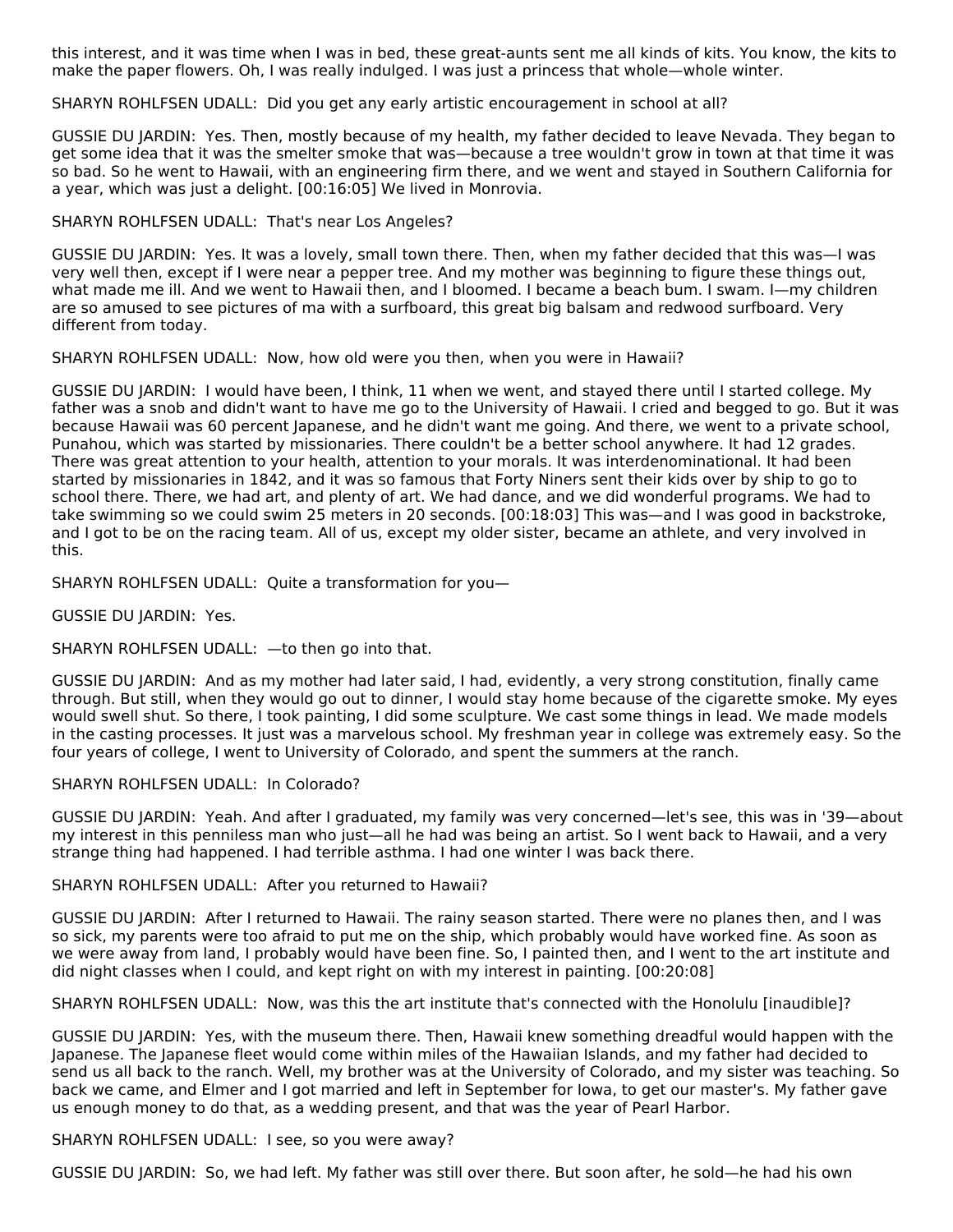this interest, and it was time when I was in bed, these great-aunts sent me all kinds of kits. You know, the kits to make the paper flowers. Oh, I was really indulged. I was just a princess that whole—whole winter.

SHARYN ROHLFSEN UDALL: Did you get any early artistic encouragement in school at all?

GUSSIE DU JARDIN: Yes. Then, mostly because of my health, my father decided to leave Nevada. They began to get some idea that it was the smelter smoke that was—because a tree wouldn't grow in town at that time it was so bad. So he went to Hawaii, with an engineering firm there, and we went and stayed in Southern California for a year, which was just a delight. [00:16:05] We lived in Monrovia.

#### SHARYN ROHLFSEN UDALL: That's near Los Angeles?

GUSSIE DU JARDIN: Yes. It was a lovely, small town there. Then, when my father decided that this was—I was very well then, except if I were near a pepper tree. And my mother was beginning to figure these things out, what made me ill. And we went to Hawaii then, and I bloomed. I became a beach bum. I swam. I—my children are so amused to see pictures of ma with a surfboard, this great big balsam and redwood surfboard. Very different from today.

SHARYN ROHLFSEN UDALL: Now, how old were you then, when you were in Hawaii?

GUSSIE DU JARDIN: I would have been, I think, 11 when we went, and stayed there until I started college. My father was a snob and didn't want to have me go to the University of Hawaii. I cried and begged to go. But it was because Hawaii was 60 percent Japanese, and he didn't want me going. And there, we went to a private school, Punahou, which was started by missionaries. There couldn't be a better school anywhere. It had 12 grades. There was great attention to your health, attention to your morals. It was interdenominational. It had been started by missionaries in 1842, and it was so famous that Forty Niners sent their kids over by ship to go to school there. There, we had art, and plenty of art. We had dance, and we did wonderful programs. We had to take swimming so we could swim 25 meters in 20 seconds. [00:18:03] This was—and I was good in backstroke, and I got to be on the racing team. All of us, except my older sister, became an athlete, and very involved in this.

SHARYN ROHLFSEN UDALL: Quite a transformation for you—

GUSSIE DU JARDIN: Yes.

SHARYN ROHLFSEN UDALL: —to then go into that.

GUSSIE DU JARDIN: And as my mother had later said, I had, evidently, a very strong constitution, finally came through. But still, when they would go out to dinner, I would stay home because of the cigarette smoke. My eyes would swell shut. So there, I took painting, I did some sculpture. We cast some things in lead. We made models in the casting processes. It just was a marvelous school. My freshman year in college was extremely easy. So the four years of college, I went to University of Colorado, and spent the summers at the ranch.

#### SHARYN ROHLFSEN UDALL: In Colorado?

GUSSIE DU JARDIN: Yeah. And after I graduated, my family was very concerned—let's see, this was in '39—about my interest in this penniless man who just—all he had was being an artist. So I went back to Hawaii, and a very strange thing had happened. I had terrible asthma. I had one winter I was back there.

#### SHARYN ROHLFSEN UDALL: After you returned to Hawaii?

GUSSIE DU JARDIN: After I returned to Hawaii. The rainy season started. There were no planes then, and I was so sick, my parents were too afraid to put me on the ship, which probably would have worked fine. As soon as we were away from land, I probably would have been fine. So, I painted then, and I went to the art institute and did night classes when I could, and kept right on with my interest in painting. [00:20:08]

SHARYN ROHLFSEN UDALL: Now, was this the art institute that's connected with the Honolulu [inaudible]?

GUSSIE DU JARDIN: Yes, with the museum there. Then, Hawaii knew something dreadful would happen with the Japanese. The Japanese fleet would come within miles of the Hawaiian Islands, and my father had decided to send us all back to the ranch. Well, my brother was at the University of Colorado, and my sister was teaching. So back we came, and Elmer and I got married and left in September for Iowa, to get our master's. My father gave us enough money to do that, as a wedding present, and that was the year of Pearl Harbor.

SHARYN ROHLFSEN UDALL: I see, so you were away?

GUSSIE DU JARDIN: So, we had left. My father was still over there. But soon after, he sold—he had his own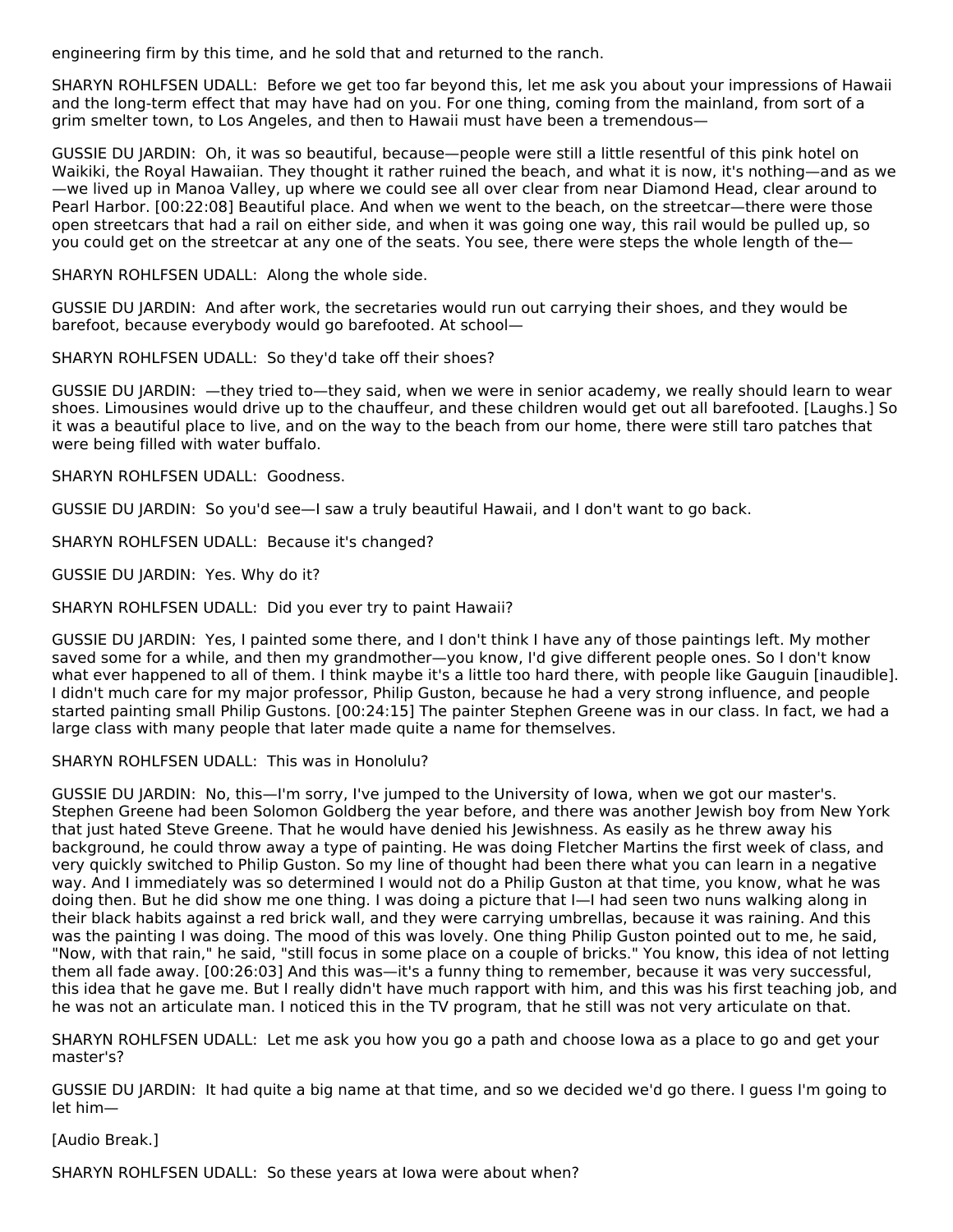engineering firm by this time, and he sold that and returned to the ranch.

SHARYN ROHLFSEN UDALL: Before we get too far beyond this, let me ask you about your impressions of Hawaii and the long-term effect that may have had on you. For one thing, coming from the mainland, from sort of a grim smelter town, to Los Angeles, and then to Hawaii must have been a tremendous—

GUSSIE DU JARDIN: Oh, it was so beautiful, because—people were still a little resentful of this pink hotel on Waikiki, the Royal Hawaiian. They thought it rather ruined the beach, and what it is now, it's nothing—and as we —we lived up in Manoa Valley, up where we could see all over clear from near Diamond Head, clear around to Pearl Harbor. [00:22:08] Beautiful place. And when we went to the beach, on the streetcar—there were those open streetcars that had a rail on either side, and when it was going one way, this rail would be pulled up, so you could get on the streetcar at any one of the seats. You see, there were steps the whole length of the—

SHARYN ROHLFSEN UDALL: Along the whole side.

GUSSIE DU JARDIN: And after work, the secretaries would run out carrying their shoes, and they would be barefoot, because everybody would go barefooted. At school—

SHARYN ROHLFSEN UDALL: So they'd take off their shoes?

GUSSIE DU JARDIN: —they tried to—they said, when we were in senior academy, we really should learn to wear shoes. Limousines would drive up to the chauffeur, and these children would get out all barefooted. [Laughs.] So it was a beautiful place to live, and on the way to the beach from our home, there were still taro patches that were being filled with water buffalo.

SHARYN ROHLFSEN UDALL: Goodness.

GUSSIE DU JARDIN: So you'd see—I saw a truly beautiful Hawaii, and I don't want to go back.

SHARYN ROHLFSEN UDALL: Because it's changed?

GUSSIE DU JARDIN: Yes. Why do it?

SHARYN ROHLFSEN UDALL: Did you ever try to paint Hawaii?

GUSSIE DU JARDIN: Yes, I painted some there, and I don't think I have any of those paintings left. My mother saved some for a while, and then my grandmother—you know, I'd give different people ones. So I don't know what ever happened to all of them. I think maybe it's a little too hard there, with people like Gauguin [inaudible]. I didn't much care for my major professor, Philip Guston, because he had a very strong influence, and people started painting small Philip Gustons. [00:24:15] The painter Stephen Greene was in our class. In fact, we had a large class with many people that later made quite a name for themselves.

SHARYN ROHLFSEN UDALL: This was in Honolulu?

GUSSIE DU JARDIN: No, this—I'm sorry, I've jumped to the University of Iowa, when we got our master's. Stephen Greene had been Solomon Goldberg the year before, and there was another Jewish boy from New York that just hated Steve Greene. That he would have denied his Jewishness. As easily as he threw away his background, he could throw away a type of painting. He was doing Fletcher Martins the first week of class, and very quickly switched to Philip Guston. So my line of thought had been there what you can learn in a negative way. And I immediately was so determined I would not do a Philip Guston at that time, you know, what he was doing then. But he did show me one thing. I was doing a picture that I—I had seen two nuns walking along in their black habits against a red brick wall, and they were carrying umbrellas, because it was raining. And this was the painting I was doing. The mood of this was lovely. One thing Philip Guston pointed out to me, he said, "Now, with that rain," he said, "still focus in some place on a couple of bricks." You know, this idea of not letting them all fade away. [00:26:03] And this was—it's a funny thing to remember, because it was very successful, this idea that he gave me. But I really didn't have much rapport with him, and this was his first teaching job, and he was not an articulate man. I noticed this in the TV program, that he still was not very articulate on that.

SHARYN ROHLFSEN UDALL: Let me ask you how you go a path and choose Iowa as a place to go and get your master's?

GUSSIE DU JARDIN: It had quite a big name at that time, and so we decided we'd go there. I guess I'm going to let him—

[Audio Break.]

SHARYN ROHLFSEN UDALL: So these years at Iowa were about when?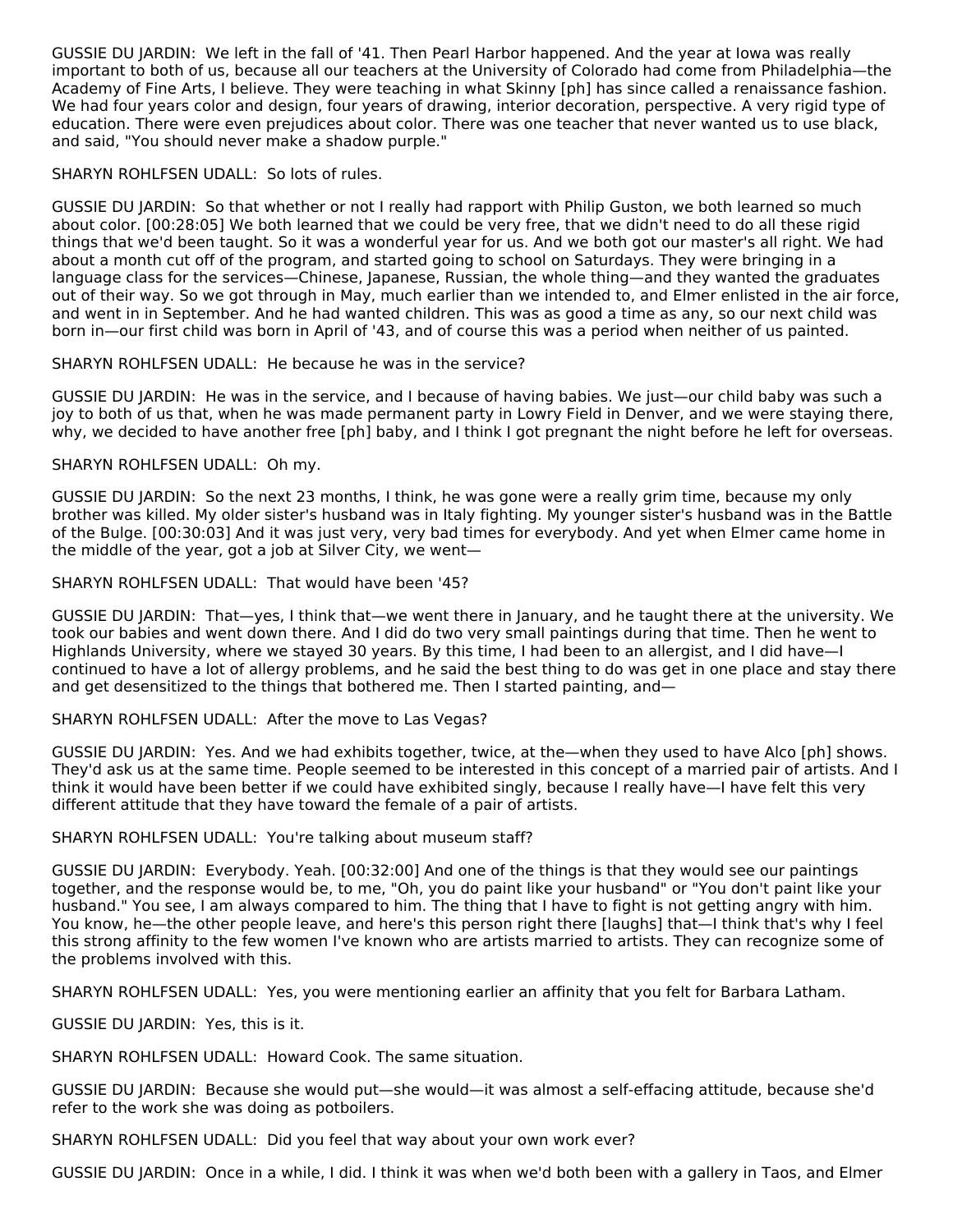GUSSIE DU JARDIN: We left in the fall of '41. Then Pearl Harbor happened. And the year at Iowa was really important to both of us, because all our teachers at the University of Colorado had come from Philadelphia—the Academy of Fine Arts, I believe. They were teaching in what Skinny [ph] has since called a renaissance fashion. We had four years color and design, four years of drawing, interior decoration, perspective. A very rigid type of education. There were even prejudices about color. There was one teacher that never wanted us to use black, and said, "You should never make a shadow purple."

#### SHARYN ROHLFSEN UDALL: So lots of rules.

GUSSIE DU JARDIN: So that whether or not I really had rapport with Philip Guston, we both learned so much about color. [00:28:05] We both learned that we could be very free, that we didn't need to do all these rigid things that we'd been taught. So it was a wonderful year for us. And we both got our master's all right. We had about a month cut off of the program, and started going to school on Saturdays. They were bringing in a language class for the services—Chinese, Japanese, Russian, the whole thing—and they wanted the graduates out of their way. So we got through in May, much earlier than we intended to, and Elmer enlisted in the air force, and went in in September. And he had wanted children. This was as good a time as any, so our next child was born in—our first child was born in April of '43, and of course this was a period when neither of us painted.

#### SHARYN ROHLFSEN UDALL: He because he was in the service?

GUSSIE DU JARDIN: He was in the service, and I because of having babies. We just—our child baby was such a joy to both of us that, when he was made permanent party in Lowry Field in Denver, and we were staying there, why, we decided to have another free [ph] baby, and I think I got pregnant the night before he left for overseas.

#### SHARYN ROHLFSEN UDALL: Oh my.

GUSSIE DU JARDIN: So the next 23 months, I think, he was gone were a really grim time, because my only brother was killed. My older sister's husband was in Italy fighting. My younger sister's husband was in the Battle of the Bulge. [00:30:03] And it was just very, very bad times for everybody. And yet when Elmer came home in the middle of the year, got a job at Silver City, we went—

#### SHARYN ROHLFSEN UDALL: That would have been '45?

GUSSIE DU JARDIN: That—yes, I think that—we went there in January, and he taught there at the university. We took our babies and went down there. And I did do two very small paintings during that time. Then he went to Highlands University, where we stayed 30 years. By this time, I had been to an allergist, and I did have—I continued to have a lot of allergy problems, and he said the best thing to do was get in one place and stay there and get desensitized to the things that bothered me. Then I started painting, and—

#### SHARYN ROHLFSEN UDALL: After the move to Las Vegas?

GUSSIE DU JARDIN: Yes. And we had exhibits together, twice, at the—when they used to have Alco [ph] shows. They'd ask us at the same time. People seemed to be interested in this concept of a married pair of artists. And I think it would have been better if we could have exhibited singly, because I really have—I have felt this very different attitude that they have toward the female of a pair of artists.

#### SHARYN ROHLFSEN UDALL: You're talking about museum staff?

GUSSIE DU JARDIN: Everybody. Yeah. [00:32:00] And one of the things is that they would see our paintings together, and the response would be, to me, "Oh, you do paint like your husband" or "You don't paint like your husband." You see, I am always compared to him. The thing that I have to fight is not getting angry with him. You know, he—the other people leave, and here's this person right there [laughs] that—I think that's why I feel this strong affinity to the few women I've known who are artists married to artists. They can recognize some of the problems involved with this.

SHARYN ROHLFSEN UDALL: Yes, you were mentioning earlier an affinity that you felt for Barbara Latham.

GUSSIE DU JARDIN: Yes, this is it.

SHARYN ROHLFSEN UDALL: Howard Cook. The same situation.

GUSSIE DU JARDIN: Because she would put—she would—it was almost a self-effacing attitude, because she'd refer to the work she was doing as potboilers.

SHARYN ROHLFSEN UDALL: Did you feel that way about your own work ever?

GUSSIE DU JARDIN: Once in a while, I did. I think it was when we'd both been with a gallery in Taos, and Elmer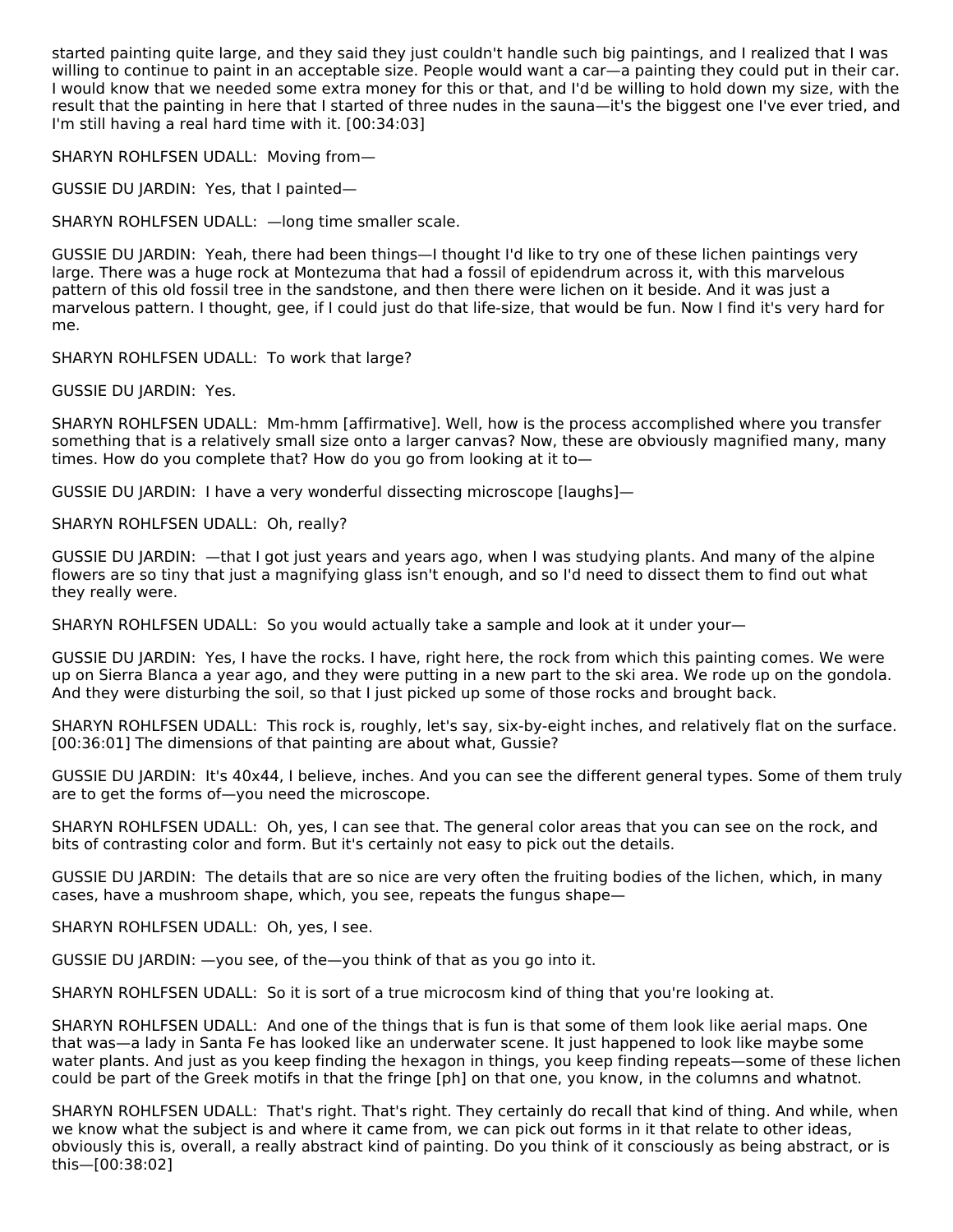started painting quite large, and they said they just couldn't handle such big paintings, and I realized that I was willing to continue to paint in an acceptable size. People would want a car—a painting they could put in their car. I would know that we needed some extra money for this or that, and I'd be willing to hold down my size, with the result that the painting in here that I started of three nudes in the sauna—it's the biggest one I've ever tried, and I'm still having a real hard time with it. [00:34:03]

SHARYN ROHLFSEN UDALL: Moving from—

GUSSIE DU JARDIN: Yes, that I painted—

SHARYN ROHLFSEN UDALL: —long time smaller scale.

GUSSIE DU JARDIN: Yeah, there had been things—I thought I'd like to try one of these lichen paintings very large. There was a huge rock at Montezuma that had a fossil of epidendrum across it, with this marvelous pattern of this old fossil tree in the sandstone, and then there were lichen on it beside. And it was just a marvelous pattern. I thought, gee, if I could just do that life-size, that would be fun. Now I find it's very hard for me.

SHARYN ROHLFSEN UDALL: To work that large?

GUSSIE DU JARDIN: Yes.

SHARYN ROHLFSEN UDALL: Mm-hmm [affirmative]. Well, how is the process accomplished where you transfer something that is a relatively small size onto a larger canvas? Now, these are obviously magnified many, many times. How do you complete that? How do you go from looking at it to—

GUSSIE DU JARDIN: I have a very wonderful dissecting microscope [laughs]—

SHARYN ROHLFSEN UDALL: Oh, really?

GUSSIE DU JARDIN: —that I got just years and years ago, when I was studying plants. And many of the alpine flowers are so tiny that just a magnifying glass isn't enough, and so I'd need to dissect them to find out what they really were.

SHARYN ROHLFSEN UDALL: So you would actually take a sample and look at it under your—

GUSSIE DU JARDIN: Yes, I have the rocks. I have, right here, the rock from which this painting comes. We were up on Sierra Blanca a year ago, and they were putting in a new part to the ski area. We rode up on the gondola. And they were disturbing the soil, so that I just picked up some of those rocks and brought back.

SHARYN ROHLFSEN UDALL: This rock is, roughly, let's say, six-by-eight inches, and relatively flat on the surface. [00:36:01] The dimensions of that painting are about what, Gussie?

GUSSIE DU JARDIN: It's 40x44, I believe, inches. And you can see the different general types. Some of them truly are to get the forms of—you need the microscope.

SHARYN ROHLFSEN UDALL: Oh, yes, I can see that. The general color areas that you can see on the rock, and bits of contrasting color and form. But it's certainly not easy to pick out the details.

GUSSIE DU JARDIN: The details that are so nice are very often the fruiting bodies of the lichen, which, in many cases, have a mushroom shape, which, you see, repeats the fungus shape—

SHARYN ROHLFSEN UDALL: Oh, yes, I see.

GUSSIE DU JARDIN: —you see, of the—you think of that as you go into it.

SHARYN ROHLFSEN UDALL: So it is sort of a true microcosm kind of thing that you're looking at.

SHARYN ROHLFSEN UDALL: And one of the things that is fun is that some of them look like aerial maps. One that was—a lady in Santa Fe has looked like an underwater scene. It just happened to look like maybe some water plants. And just as you keep finding the hexagon in things, you keep finding repeats—some of these lichen could be part of the Greek motifs in that the fringe [ph] on that one, you know, in the columns and whatnot.

SHARYN ROHLFSEN UDALL: That's right. That's right. They certainly do recall that kind of thing. And while, when we know what the subject is and where it came from, we can pick out forms in it that relate to other ideas, obviously this is, overall, a really abstract kind of painting. Do you think of it consciously as being abstract, or is this—[00:38:02]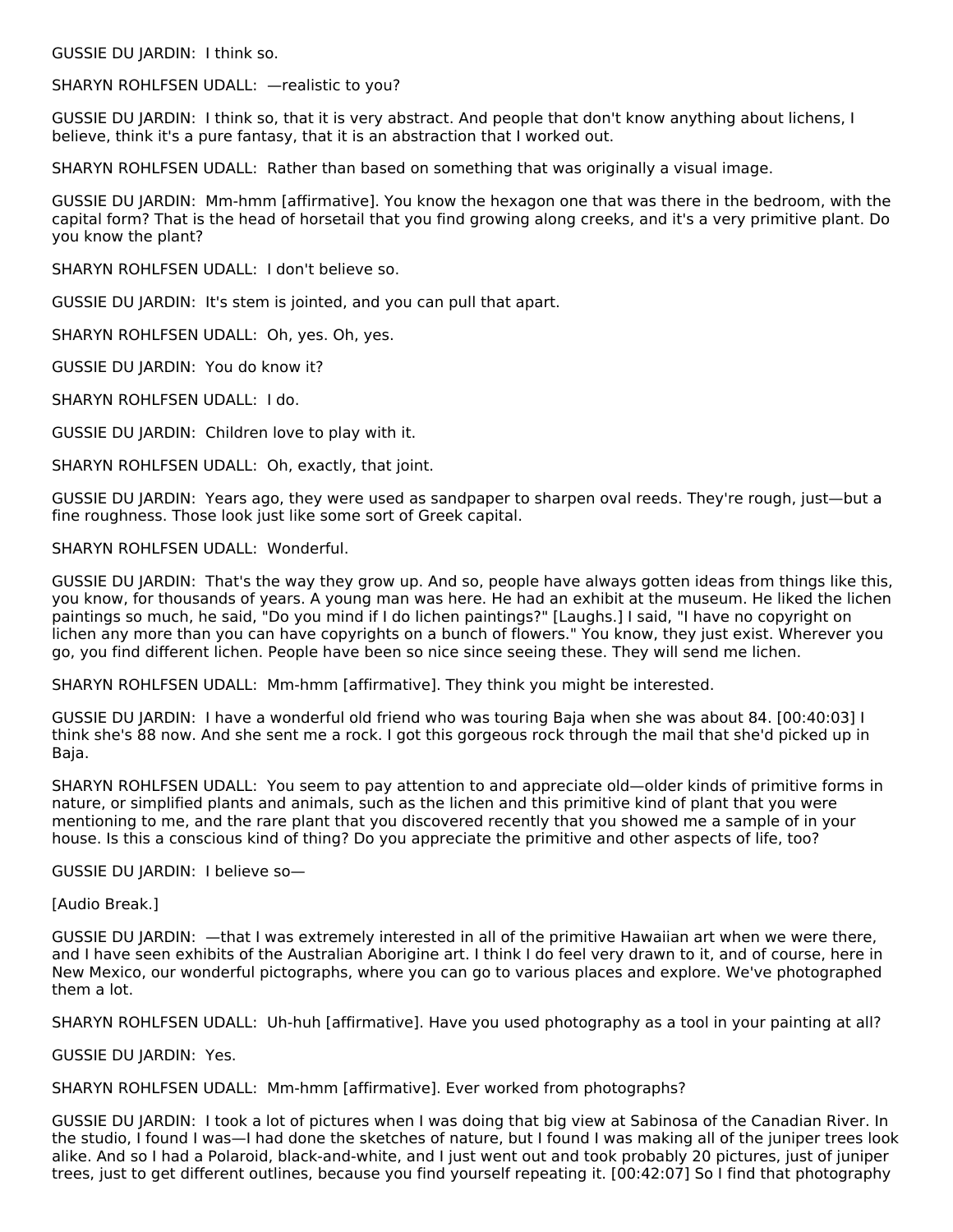GUSSIE DU JARDIN: I think so.

SHARYN ROHLFSEN UDALL: —realistic to you?

GUSSIE DU JARDIN: I think so, that it is very abstract. And people that don't know anything about lichens, I believe, think it's a pure fantasy, that it is an abstraction that I worked out.

SHARYN ROHLFSEN UDALL: Rather than based on something that was originally a visual image.

GUSSIE DU JARDIN: Mm-hmm [affirmative]. You know the hexagon one that was there in the bedroom, with the capital form? That is the head of horsetail that you find growing along creeks, and it's a very primitive plant. Do you know the plant?

SHARYN ROHLFSEN UDALL: I don't believe so.

GUSSIE DU JARDIN: It's stem is jointed, and you can pull that apart.

SHARYN ROHLFSEN UDALL: Oh, yes. Oh, yes.

GUSSIE DU JARDIN: You do know it?

SHARYN ROHLFSEN UDALL: I do.

GUSSIE DU JARDIN: Children love to play with it.

SHARYN ROHLFSEN UDALL: Oh, exactly, that joint.

GUSSIE DU JARDIN: Years ago, they were used as sandpaper to sharpen oval reeds. They're rough, just—but a fine roughness. Those look just like some sort of Greek capital.

SHARYN ROHLFSEN UDALL: Wonderful.

GUSSIE DU JARDIN: That's the way they grow up. And so, people have always gotten ideas from things like this, you know, for thousands of years. A young man was here. He had an exhibit at the museum. He liked the lichen paintings so much, he said, "Do you mind if I do lichen paintings?" [Laughs.] I said, "I have no copyright on lichen any more than you can have copyrights on a bunch of flowers." You know, they just exist. Wherever you go, you find different lichen. People have been so nice since seeing these. They will send me lichen.

SHARYN ROHLFSEN UDALL: Mm-hmm [affirmative]. They think you might be interested.

GUSSIE DU JARDIN: I have a wonderful old friend who was touring Baja when she was about 84. [00:40:03] I think she's 88 now. And she sent me a rock. I got this gorgeous rock through the mail that she'd picked up in Baja.

SHARYN ROHLFSEN UDALL: You seem to pay attention to and appreciate old—older kinds of primitive forms in nature, or simplified plants and animals, such as the lichen and this primitive kind of plant that you were mentioning to me, and the rare plant that you discovered recently that you showed me a sample of in your house. Is this a conscious kind of thing? Do you appreciate the primitive and other aspects of life, too?

GUSSIE DU JARDIN: I believe so—

[Audio Break.]

GUSSIE DU JARDIN: —that I was extremely interested in all of the primitive Hawaiian art when we were there, and I have seen exhibits of the Australian Aborigine art. I think I do feel very drawn to it, and of course, here in New Mexico, our wonderful pictographs, where you can go to various places and explore. We've photographed them a lot.

SHARYN ROHLFSEN UDALL: Uh-huh [affirmative]. Have you used photography as a tool in your painting at all?

GUSSIE DU JARDIN: Yes.

SHARYN ROHLFSEN UDALL: Mm-hmm [affirmative]. Ever worked from photographs?

GUSSIE DU JARDIN: I took a lot of pictures when I was doing that big view at Sabinosa of the Canadian River. In the studio, I found I was—I had done the sketches of nature, but I found I was making all of the juniper trees look alike. And so I had a Polaroid, black-and-white, and I just went out and took probably 20 pictures, just of juniper trees, just to get different outlines, because you find yourself repeating it. [00:42:07] So I find that photography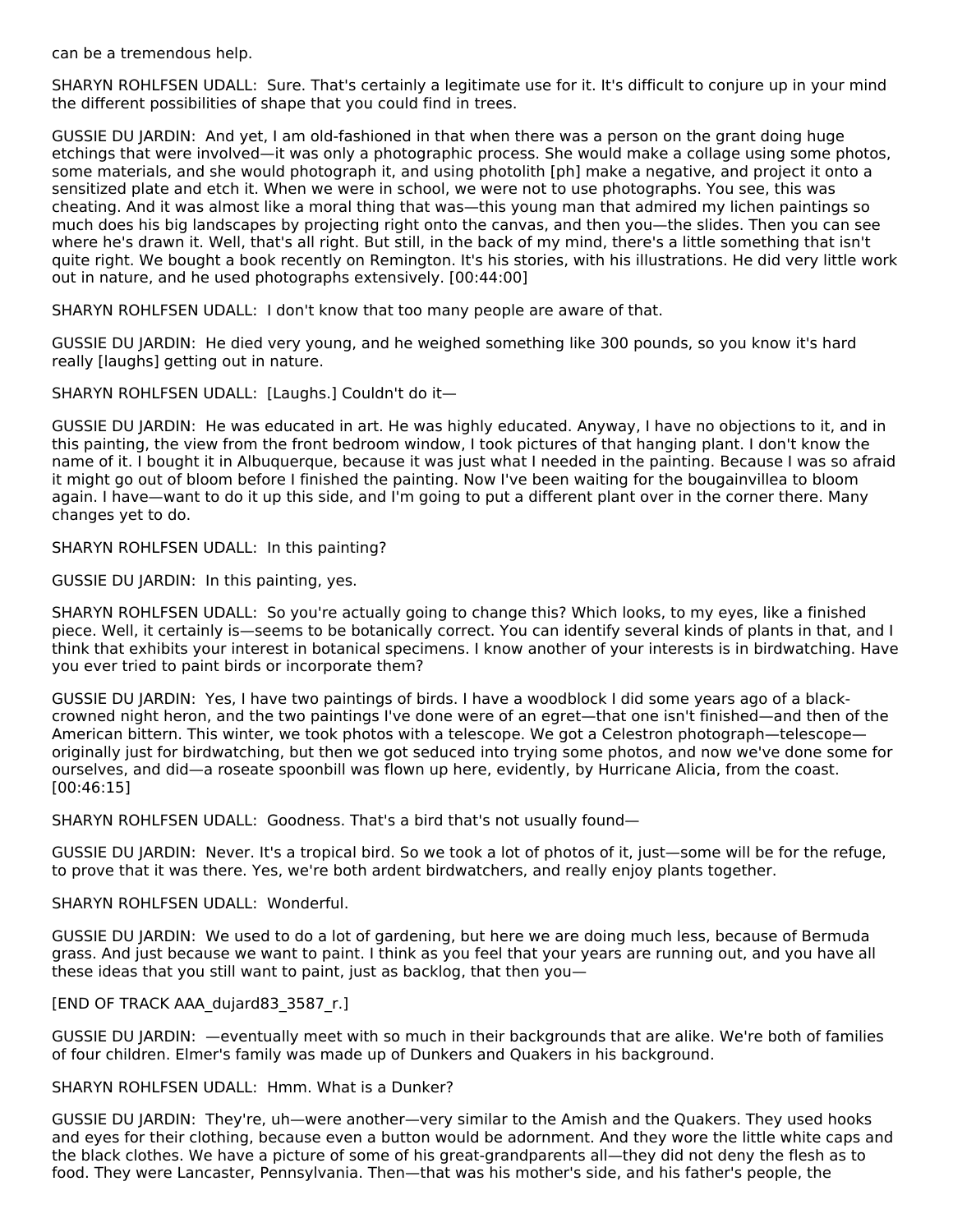can be a tremendous help.

SHARYN ROHLFSEN UDALL: Sure. That's certainly a legitimate use for it. It's difficult to conjure up in your mind the different possibilities of shape that you could find in trees.

GUSSIE DU JARDIN: And yet, I am old-fashioned in that when there was a person on the grant doing huge etchings that were involved—it was only a photographic process. She would make a collage using some photos, some materials, and she would photograph it, and using photolith [ph] make a negative, and project it onto a sensitized plate and etch it. When we were in school, we were not to use photographs. You see, this was cheating. And it was almost like a moral thing that was—this young man that admired my lichen paintings so much does his big landscapes by projecting right onto the canvas, and then you—the slides. Then you can see where he's drawn it. Well, that's all right. But still, in the back of my mind, there's a little something that isn't quite right. We bought a book recently on Remington. It's his stories, with his illustrations. He did very little work out in nature, and he used photographs extensively. [00:44:00]

SHARYN ROHLFSEN UDALL: I don't know that too many people are aware of that.

GUSSIE DU JARDIN: He died very young, and he weighed something like 300 pounds, so you know it's hard really [laughs] getting out in nature.

SHARYN ROHLFSEN UDALL: [Laughs.] Couldn't do it—

GUSSIE DU JARDIN: He was educated in art. He was highly educated. Anyway, I have no objections to it, and in this painting, the view from the front bedroom window, I took pictures of that hanging plant. I don't know the name of it. I bought it in Albuquerque, because it was just what I needed in the painting. Because I was so afraid it might go out of bloom before I finished the painting. Now I've been waiting for the bougainvillea to bloom again. I have—want to do it up this side, and I'm going to put a different plant over in the corner there. Many changes yet to do.

SHARYN ROHLFSEN UDALL: In this painting?

GUSSIE DU JARDIN: In this painting, yes.

SHARYN ROHLFSEN UDALL: So you're actually going to change this? Which looks, to my eyes, like a finished piece. Well, it certainly is—seems to be botanically correct. You can identify several kinds of plants in that, and I think that exhibits your interest in botanical specimens. I know another of your interests is in birdwatching. Have you ever tried to paint birds or incorporate them?

GUSSIE DU JARDIN: Yes, I have two paintings of birds. I have a woodblock I did some years ago of a blackcrowned night heron, and the two paintings I've done were of an egret—that one isn't finished—and then of the American bittern. This winter, we took photos with a telescope. We got a Celestron photograph—telescope originally just for birdwatching, but then we got seduced into trying some photos, and now we've done some for ourselves, and did—a roseate spoonbill was flown up here, evidently, by Hurricane Alicia, from the coast. [00:46:15]

SHARYN ROHLFSEN UDALL: Goodness. That's a bird that's not usually found—

GUSSIE DU JARDIN: Never. It's a tropical bird. So we took a lot of photos of it, just—some will be for the refuge, to prove that it was there. Yes, we're both ardent birdwatchers, and really enjoy plants together.

#### SHARYN ROHLFSEN UDALL: Wonderful.

GUSSIE DU JARDIN: We used to do a lot of gardening, but here we are doing much less, because of Bermuda grass. And just because we want to paint. I think as you feel that your years are running out, and you have all these ideas that you still want to paint, just as backlog, that then you—

#### [END OF TRACK AAA\_dujard83\_3587\_r.]

GUSSIE DU JARDIN: —eventually meet with so much in their backgrounds that are alike. We're both of families of four children. Elmer's family was made up of Dunkers and Quakers in his background.

#### SHARYN ROHLFSEN UDALL: Hmm. What is a Dunker?

GUSSIE DU JARDIN: They're, uh—were another—very similar to the Amish and the Quakers. They used hooks and eyes for their clothing, because even a button would be adornment. And they wore the little white caps and the black clothes. We have a picture of some of his great-grandparents all—they did not deny the flesh as to food. They were Lancaster, Pennsylvania. Then—that was his mother's side, and his father's people, the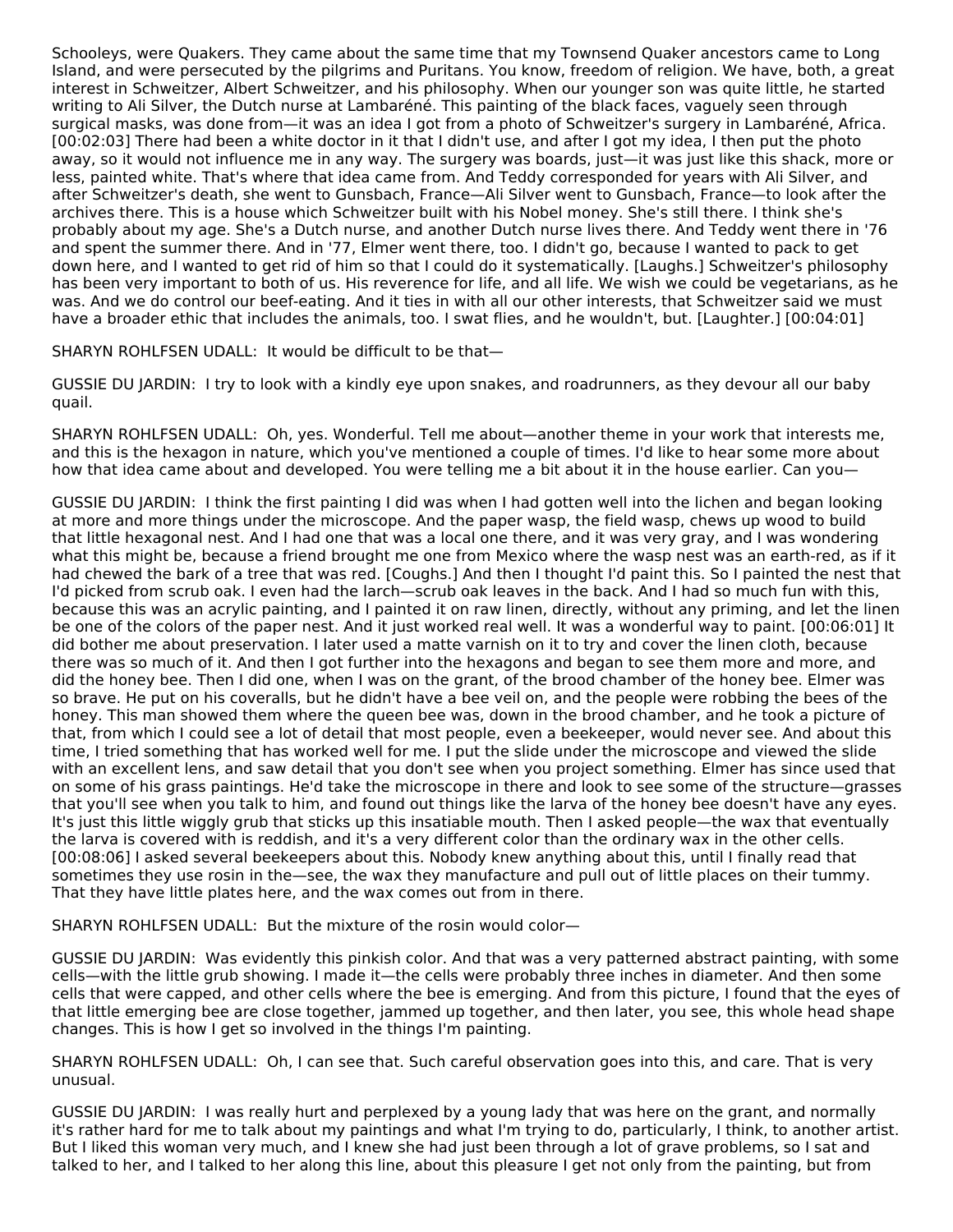Schooleys, were Quakers. They came about the same time that my Townsend Quaker ancestors came to Long Island, and were persecuted by the pilgrims and Puritans. You know, freedom of religion. We have, both, a great interest in Schweitzer, Albert Schweitzer, and his philosophy. When our younger son was quite little, he started writing to Ali Silver, the Dutch nurse at Lambaréné. This painting of the black faces, vaguely seen through surgical masks, was done from—it was an idea I got from a photo of Schweitzer's surgery in Lambaréné, Africa. [00:02:03] There had been a white doctor in it that I didn't use, and after I got my idea, I then put the photo away, so it would not influence me in any way. The surgery was boards, just—it was just like this shack, more or less, painted white. That's where that idea came from. And Teddy corresponded for years with Ali Silver, and after Schweitzer's death, she went to Gunsbach, France—Ali Silver went to Gunsbach, France—to look after the archives there. This is a house which Schweitzer built with his Nobel money. She's still there. I think she's probably about my age. She's a Dutch nurse, and another Dutch nurse lives there. And Teddy went there in '76 and spent the summer there. And in '77, Elmer went there, too. I didn't go, because I wanted to pack to get down here, and I wanted to get rid of him so that I could do it systematically. [Laughs.] Schweitzer's philosophy has been very important to both of us. His reverence for life, and all life. We wish we could be vegetarians, as he was. And we do control our beef-eating. And it ties in with all our other interests, that Schweitzer said we must have a broader ethic that includes the animals, too. I swat flies, and he wouldn't, but. [Laughter.] [00:04:01]

SHARYN ROHLFSEN UDALL: It would be difficult to be that—

GUSSIE DU JARDIN: I try to look with a kindly eye upon snakes, and roadrunners, as they devour all our baby quail.

SHARYN ROHLFSEN UDALL: Oh, yes. Wonderful. Tell me about—another theme in your work that interests me, and this is the hexagon in nature, which you've mentioned a couple of times. I'd like to hear some more about how that idea came about and developed. You were telling me a bit about it in the house earlier. Can you—

GUSSIE DU JARDIN: I think the first painting I did was when I had gotten well into the lichen and began looking at more and more things under the microscope. And the paper wasp, the field wasp, chews up wood to build that little hexagonal nest. And I had one that was a local one there, and it was very gray, and I was wondering what this might be, because a friend brought me one from Mexico where the wasp nest was an earth-red, as if it had chewed the bark of a tree that was red. [Coughs.] And then I thought I'd paint this. So I painted the nest that I'd picked from scrub oak. I even had the larch—scrub oak leaves in the back. And I had so much fun with this, because this was an acrylic painting, and I painted it on raw linen, directly, without any priming, and let the linen be one of the colors of the paper nest. And it just worked real well. It was a wonderful way to paint. [00:06:01] It did bother me about preservation. I later used a matte varnish on it to try and cover the linen cloth, because there was so much of it. And then I got further into the hexagons and began to see them more and more, and did the honey bee. Then I did one, when I was on the grant, of the brood chamber of the honey bee. Elmer was so brave. He put on his coveralls, but he didn't have a bee veil on, and the people were robbing the bees of the honey. This man showed them where the queen bee was, down in the brood chamber, and he took a picture of that, from which I could see a lot of detail that most people, even a beekeeper, would never see. And about this time, I tried something that has worked well for me. I put the slide under the microscope and viewed the slide with an excellent lens, and saw detail that you don't see when you project something. Elmer has since used that on some of his grass paintings. He'd take the microscope in there and look to see some of the structure—grasses that you'll see when you talk to him, and found out things like the larva of the honey bee doesn't have any eyes. It's just this little wiggly grub that sticks up this insatiable mouth. Then I asked people—the wax that eventually the larva is covered with is reddish, and it's a very different color than the ordinary wax in the other cells. [00:08:06] I asked several beekeepers about this. Nobody knew anything about this, until I finally read that sometimes they use rosin in the—see, the wax they manufacture and pull out of little places on their tummy. That they have little plates here, and the wax comes out from in there.

SHARYN ROHLFSEN UDALL: But the mixture of the rosin would color—

GUSSIE DU JARDIN: Was evidently this pinkish color. And that was a very patterned abstract painting, with some cells—with the little grub showing. I made it—the cells were probably three inches in diameter. And then some cells that were capped, and other cells where the bee is emerging. And from this picture, I found that the eyes of that little emerging bee are close together, jammed up together, and then later, you see, this whole head shape changes. This is how I get so involved in the things I'm painting.

SHARYN ROHLFSEN UDALL: Oh, I can see that. Such careful observation goes into this, and care. That is very unusual.

GUSSIE DU JARDIN: I was really hurt and perplexed by a young lady that was here on the grant, and normally it's rather hard for me to talk about my paintings and what I'm trying to do, particularly, I think, to another artist. But I liked this woman very much, and I knew she had just been through a lot of grave problems, so I sat and talked to her, and I talked to her along this line, about this pleasure I get not only from the painting, but from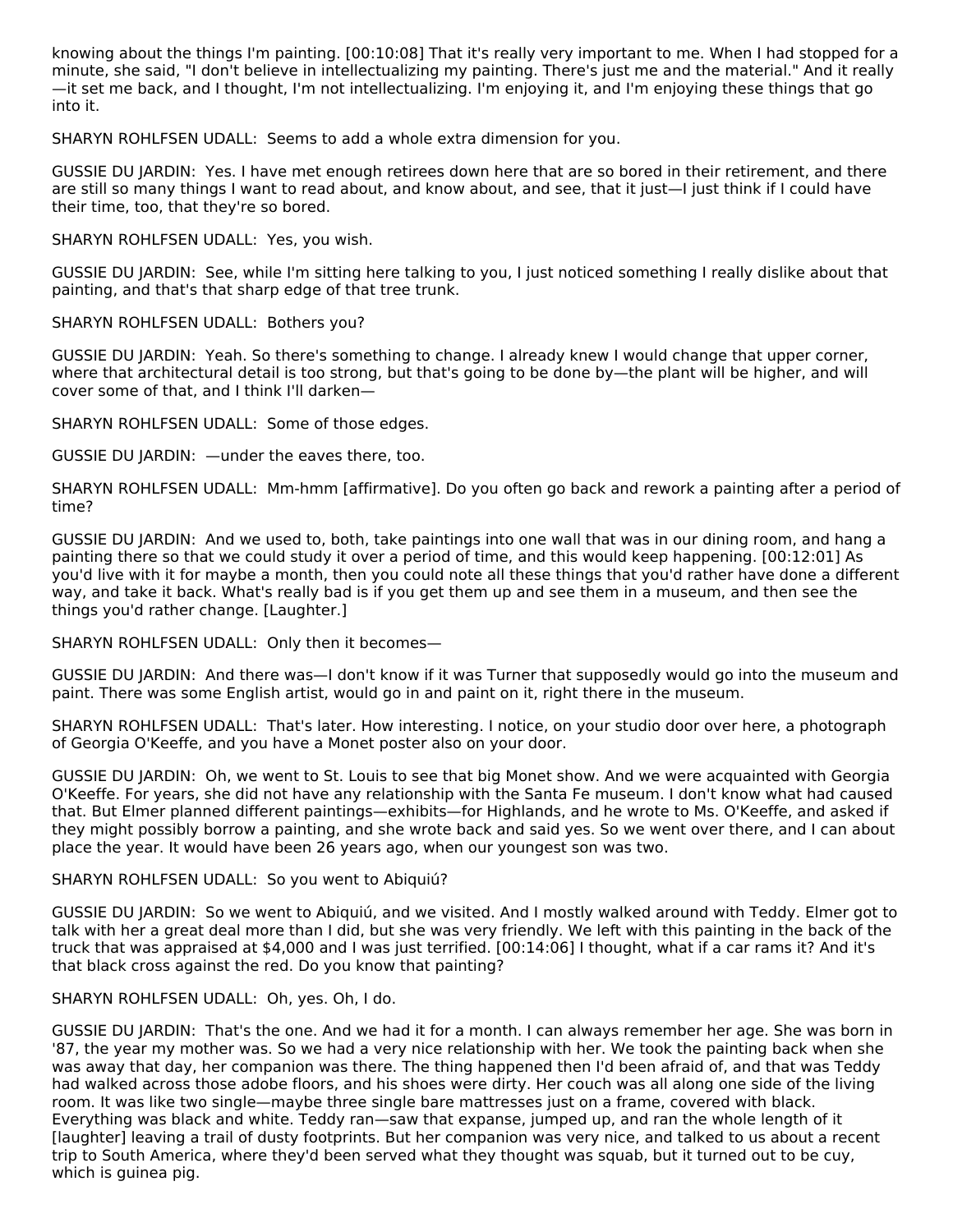knowing about the things I'm painting. [00:10:08] That it's really very important to me. When I had stopped for a minute, she said, "I don't believe in intellectualizing my painting. There's just me and the material." And it really —it set me back, and I thought, I'm not intellectualizing. I'm enjoying it, and I'm enjoying these things that go into it.

SHARYN ROHLFSEN UDALL: Seems to add a whole extra dimension for you.

GUSSIE DU JARDIN: Yes. I have met enough retirees down here that are so bored in their retirement, and there are still so many things I want to read about, and know about, and see, that it just—I just think if I could have their time, too, that they're so bored.

SHARYN ROHLFSEN UDALL: Yes, you wish.

GUSSIE DU JARDIN: See, while I'm sitting here talking to you, I just noticed something I really dislike about that painting, and that's that sharp edge of that tree trunk.

SHARYN ROHLFSEN UDALL: Bothers you?

GUSSIE DU JARDIN: Yeah. So there's something to change. I already knew I would change that upper corner, where that architectural detail is too strong, but that's going to be done by—the plant will be higher, and will cover some of that, and I think I'll darken—

SHARYN ROHLFSEN UDALL: Some of those edges.

GUSSIE DU JARDIN: —under the eaves there, too.

SHARYN ROHLFSEN UDALL: Mm-hmm [affirmative]. Do you often go back and rework a painting after a period of time?

GUSSIE DU JARDIN: And we used to, both, take paintings into one wall that was in our dining room, and hang a painting there so that we could study it over a period of time, and this would keep happening. [00:12:01] As you'd live with it for maybe a month, then you could note all these things that you'd rather have done a different way, and take it back. What's really bad is if you get them up and see them in a museum, and then see the things you'd rather change. [Laughter.]

SHARYN ROHLFSEN UDALL: Only then it becomes—

GUSSIE DU JARDIN: And there was—I don't know if it was Turner that supposedly would go into the museum and paint. There was some English artist, would go in and paint on it, right there in the museum.

SHARYN ROHLFSEN UDALL: That's later. How interesting. I notice, on your studio door over here, a photograph of Georgia O'Keeffe, and you have a Monet poster also on your door.

GUSSIE DU JARDIN: Oh, we went to St. Louis to see that big Monet show. And we were acquainted with Georgia O'Keeffe. For years, she did not have any relationship with the Santa Fe museum. I don't know what had caused that. But Elmer planned different paintings—exhibits—for Highlands, and he wrote to Ms. O'Keeffe, and asked if they might possibly borrow a painting, and she wrote back and said yes. So we went over there, and I can about place the year. It would have been 26 years ago, when our youngest son was two.

#### SHARYN ROHLFSEN UDALL: So you went to Abiquiú?

GUSSIE DU JARDIN: So we went to Abiquiú, and we visited. And I mostly walked around with Teddy. Elmer got to talk with her a great deal more than I did, but she was very friendly. We left with this painting in the back of the truck that was appraised at \$4,000 and I was just terrified. [00:14:06] I thought, what if a car rams it? And it's that black cross against the red. Do you know that painting?

#### SHARYN ROHLFSEN UDALL: Oh, yes. Oh, I do.

GUSSIE DU JARDIN: That's the one. And we had it for a month. I can always remember her age. She was born in '87, the year my mother was. So we had a very nice relationship with her. We took the painting back when she was away that day, her companion was there. The thing happened then I'd been afraid of, and that was Teddy had walked across those adobe floors, and his shoes were dirty. Her couch was all along one side of the living room. It was like two single—maybe three single bare mattresses just on a frame, covered with black. Everything was black and white. Teddy ran—saw that expanse, jumped up, and ran the whole length of it [laughter] leaving a trail of dusty footprints. But her companion was very nice, and talked to us about a recent trip to South America, where they'd been served what they thought was squab, but it turned out to be cuy, which is guinea pig.